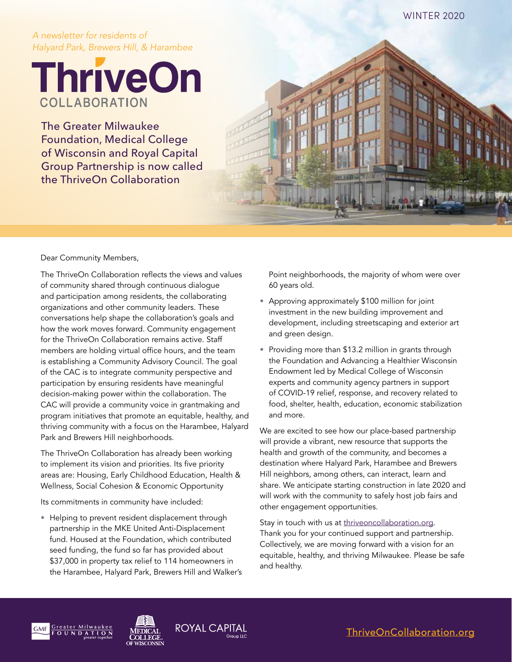#### WINTER 2020

#### *A newsletter for residents of Halyard Park, Brewers Hill, & Harambee*

**ThriveOn** COLLABORATION

The Greater Milwaukee Foundation, Medical College of Wisconsin and Royal Capital Group Partnership is now called the ThriveOn Collaboration



The ThriveOn Collaboration reflects the views and values of community shared through continuous dialogue and participation among residents, the collaborating organizations and other community leaders. These conversations help shape the collaboration's goals and how the work moves forward. Community engagement for the ThriveOn Collaboration remains active. Staff members are holding virtual office hours, and the team is establishing a Community Advisory Council. The goal of the CAC is to integrate community perspective and participation by ensuring residents have meaningful decision-making power within the collaboration. The CAC will provide a community voice in grantmaking and program initiatives that promote an equitable, healthy, and thriving community with a focus on the Harambee, Halyard Park and Brewers Hill neighborhoods.

The ThriveOn Collaboration has already been working to implement its vision and priorities. Its five priority areas are: Housing, Early Childhood Education, Health & Wellness, Social Cohesion & Economic Opportunity

Its commitments in community have included:

• Helping to prevent resident displacement through partnership in the MKE United Anti-Displacement fund. Housed at the Foundation, which contributed seed funding, the fund so far has provided about \$37,000 in property tax relief to 114 homeowners in the Harambee, Halyard Park, Brewers Hill and Walker's Point neighborhoods, the majority of whom were over 60 years old.

- Approving approximately \$100 million for joint investment in the new building improvement and development, including streetscaping and exterior art and green design.
- Providing more than \$13.2 million in grants through the Foundation and Advancing a Healthier Wisconsin Endowment led by Medical College of Wisconsin experts and community agency partners in support of COVID-19 relief, response, and recovery related to food, shelter, health, education, economic stabilization and more.

We are excited to see how our place-based partnership will provide a vibrant, new resource that supports the health and growth of the community, and becomes a destination where Halyard Park, Harambee and Brewers Hill neighbors, among others, can interact, learn and share. We anticipate starting construction in late 2020 and will work with the community to safely host job fairs and other engagement opportunities.

Stay in touch with us at [thriveoncollaboration.org](https://thriveoncollaboration.org). Thank you for your continued support and partnership. Collectively, we are moving forward with a vision for an equitable, healthy, and thriving Milwaukee. Please be safe and healthy.





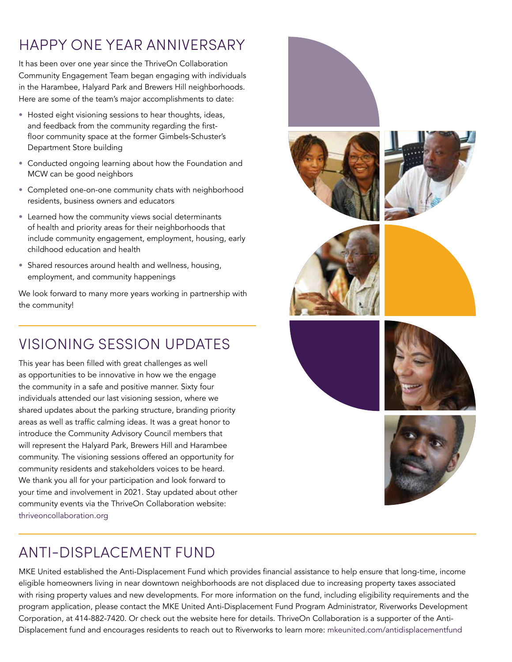# HAPPY ONE YEAR ANNIVERSARY

It has been over one year since the ThriveOn Collaboration Community Engagement Team began engaging with individuals in the Harambee, Halyard Park and Brewers Hill neighborhoods. Here are some of the team's major accomplishments to date:

- Hosted eight visioning sessions to hear thoughts, ideas, and feedback from the community regarding the firstfloor community space at the former Gimbels-Schuster's Department Store building
- Conducted ongoing learning about how the Foundation and MCW can be good neighbors
- Completed one-on-one community chats with neighborhood residents, business owners and educators
- Learned how the community views social determinants of health and priority areas for their neighborhoods that include community engagement, employment, housing, early childhood education and health
- Shared resources around health and wellness, housing, employment, and community happenings

We look forward to many more years working in partnership with the community!

## VISIONING SESSION UPDATES

This year has been filled with great challenges as well as opportunities to be innovative in how we the engage the community in a safe and positive manner. Sixty four individuals attended our last visioning session, where we shared updates about the parking structure, branding priority areas as well as traffic calming ideas. It was a great honor to introduce the Community Advisory Council members that will represent the Halyard Park, Brewers Hill and Harambee community. The visioning sessions offered an opportunity for community residents and stakeholders voices to be heard. We thank you all for your participation and look forward to your time and involvement in 2021. Stay updated about other community events via the ThriveOn Collaboration website: [thriveoncollaboration.org](http://thriveoncollaboration.org)



MKE United established the Anti-Displacement Fund which provides financial assistance to help ensure that long-time, income eligible homeowners living in near downtown neighborhoods are not displaced due to increasing property taxes associated with rising property values and new developments. For more information on the fund, including eligibility requirements and the program application, please contact the MKE United Anti-Displacement Fund Program Administrator, Riverworks Development Corporation, at 414-882-7420. Or check out the website here for details. ThriveOn Collaboration is a supporter of the Anti-Displacement fund and encourages residents to reach out to Riverworks to learn more: [mkeunited.com/antidisplacementfund](http://mkeunited.com/antidisplacementfund)

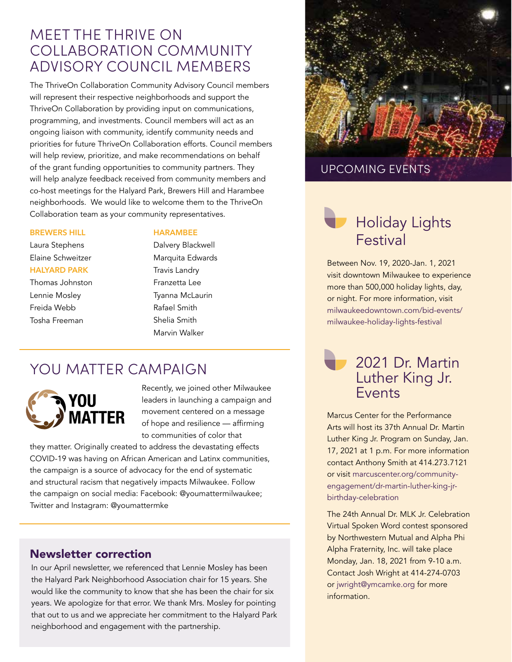## MEET THE THRIVE ON COLLABORATION COMMUNITY ADVISORY COUNCIL MEMBERS

The ThriveOn Collaboration Community Advisory Council members will represent their respective neighborhoods and support the ThriveOn Collaboration by providing input on communications, programming, and investments. Council members will act as an ongoing liaison with community, identify community needs and priorities for future ThriveOn Collaboration efforts. Council members will help review, prioritize, and make recommendations on behalf of the grant funding opportunities to community partners. They will help analyze feedback received from community members and co-host meetings for the Halyard Park, Brewers Hill and Harambee neighborhoods. We would like to welcome them to the ThriveOn Collaboration team as your community representatives.

#### **BREWERS HILL**

Laura Stephens Elaine Schweitzer **HALYARD PARK**  Thomas Johnston

Lennie Mosley Freida Webb Tosha Freeman

#### **HARAMBEE**

Dalvery Blackwell Marquita Edwards Travis Landry Franzetta Lee Tyanna McLaurin Rafael Smith Shelia Smith Marvin Walker

## YOU MATTER CAMPAIGN



Recently, we joined other Milwaukee leaders in launching a campaign and movement centered on a message of hope and resilience — affirming to communities of color that

they matter. Originally created to address the devastating effects COVID-19 was having on African American and Latinx communities, the campaign is a source of advocacy for the end of systematic and structural racism that negatively impacts Milwaukee. Follow the campaign on social media: Facebook: @youmattermilwaukee; Twitter and Instagram: @youmattermke

### Newsletter correction

In our April newsletter, we referenced that Lennie Mosley has been the Halyard Park Neighborhood Association chair for 15 years. She would like the community to know that she has been the chair for six years. We apologize for that error. We thank Mrs. Mosley for pointing that out to us and we appreciate her commitment to the Halyard Park neighborhood and engagement with the partnership.



### UPCOMING EVENTS

# Holiday Lights Festival

Between Nov. 19, 2020-Jan. 1, 2021 visit downtown Milwaukee to experience more than 500,000 holiday lights, day, or night. For more information, visit [milwaukeedowntown.com/bid-events/](http://milwaukeedowntown.com/bid-events/milwaukee-holiday-lights-festival) [milwaukee-holiday-lights-festival](http://milwaukeedowntown.com/bid-events/milwaukee-holiday-lights-festival)

## 2021 Dr. Martin Luther King Jr. Events

Marcus Center for the Performance Arts will host its 37th Annual Dr. Martin Luther King Jr. Program on Sunday, Jan. 17, 2021 at 1 p.m. For more information contact Anthony Smith at 414.273.7121 or visit [marcuscenter.org/community](http://marcuscenter.org/community-engagement/dr-martin-luther-king-jr-birthday-celebration)[engagement/dr-martin-luther-king-jr](http://marcuscenter.org/community-engagement/dr-martin-luther-king-jr-birthday-celebration)[birthday-celebration](http://marcuscenter.org/community-engagement/dr-martin-luther-king-jr-birthday-celebration)

The 24th Annual Dr. MLK Jr. Celebration Virtual Spoken Word contest sponsored by Northwestern Mutual and Alpha Phi Alpha Fraternity, Inc. will take place Monday, Jan. 18, 2021 from 9-10 a.m. Contact Josh Wright at 414-274-0703 or [jwright@ymcamke.org](mailto:jwright@ymcamke.org) for more information.